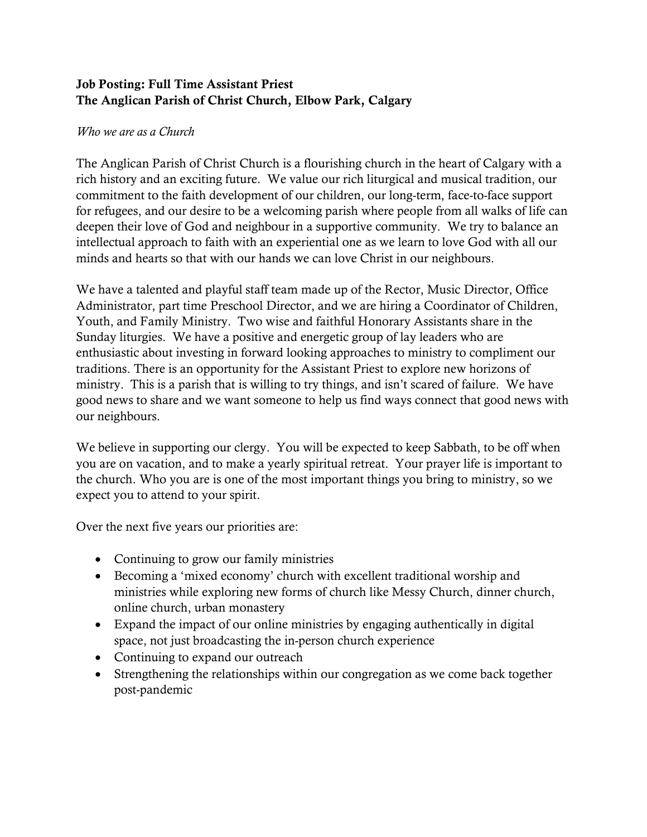## Job Posting: Full Time Assistant Priest The Anglican Parish of Christ Church, Elbow Park, Calgary

## Who we are as a Church

The Anglican Parish of Christ Church is a flourishing church in the heart of Calgary with a rich history and an exciting future. We value our rich liturgical and musical tradition, our commitment to the faith development of our children, our long-term, face-to-face support for refugees, and our desire to be a welcoming parish where people from all walks of life can deepen their love of God and neighbour in a supportive community. We try to balance an intellectual approach to faith with an experiential one as we learn to love God with all our minds and hearts so that with our hands we can love Christ in our neighbours.

We have a talented and playful staff team made up of the Rector, Music Director, Office Administrator, part time Preschool Director, and we are hiring a Coordinator of Children, Youth, and Family Ministry. Two wise and faithful Honorary Assistants share in the Sunday liturgies. We have a positive and energetic group of lay leaders who are enthusiastic about investing in forward looking approaches to ministry to compliment our traditions. There is an opportunity for the Assistant Priest to explore new horizons of ministry. This is a parish that is willing to try things, and isn't scared of failure. We have good news to share and we want someone to help us find ways connect that good news with our neighbours.

We believe in supporting our clergy. You will be expected to keep Sabbath, to be off when you are on vacation, and to make a yearly spiritual retreat. Your prayer life is important to the church. Who you are is one of the most important things you bring to ministry, so we expect you to attend to your spirit.

Over the next five years our priorities are:

- Continuing to grow our family ministries
- Becoming a 'mixed economy' church with excellent traditional worship and ministries while exploring new forms of church like Messy Church, dinner church, online church, urban monastery
- Expand the impact of our online ministries by engaging authentically in digital space, not just broadcasting the in-person church experience
- Continuing to expand our outreach
- Strengthening the relationships within our congregation as we come back together post-pandemic